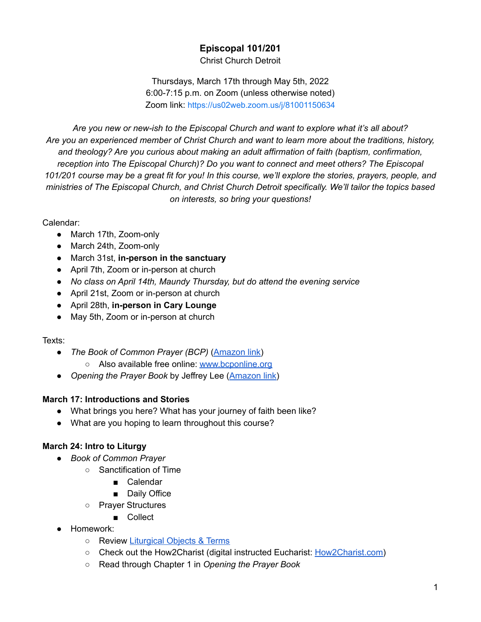# **Episcopal 101/201**

Christ Church Detroit

Thursdays, March 17th through May 5th, 2022 6:00-7:15 p.m. on Zoom (unless otherwise noted) Zoom link: https://us02web.zoom.us/j/81001150634

*Are you new or new-ish to the Episcopal Church and want to explore what it's all about? Are you an experienced member of Christ Church and want to learn more about the traditions, history, and theology? Are you curious about making an adult affirmation of faith (baptism, confirmation, reception into The Episcopal Church)? Do you want to connect and meet others? The Episcopal* 101/201 course may be a great fit for you! In this course, we'll explore the stories, prayers, people, and *ministries of The Episcopal Church, and Christ Church Detroit specifically. We'll tailor the topics based on interests, so bring your questions!*

#### Calendar:

- March 17th, Zoom-only
- March 24th, Zoom-only
- March 31st, **in-person in the sanctuary**
- April 7th, Zoom or in-person at church
- *● No class on April 14th, Maundy Thursday, but do attend the evening service*
- April 21st, Zoom or in-person at church
- April 28th, **in-person in Cary Lounge**
- May 5th, Zoom or in-person at church

#### Texts:

- *● The Book of Common Prayer (BCP)* (Amazon link)
	- Also available free online: www.bcponline.org
- *Opening the Prayer Book* by Jeffrey Lee (Amazon link)

#### **March 17: Introductions and Stories**

- What brings you here? What has your journey of faith been like?
- What are you hoping to learn throughout this course?

# **March 24: Intro to Liturgy**

- *Book of Common Prayer*
	- Sanctification of Time
		- Calendar
		- Daily Office
	- Prayer Structures
		- Collect
- Homework:
	- Review Liturgical Objects & Terms
	- Check out the How2Charist (digital instructed Eucharist: How2Charist.com)
	- Read through Chapter 1 in *Opening the Prayer Book*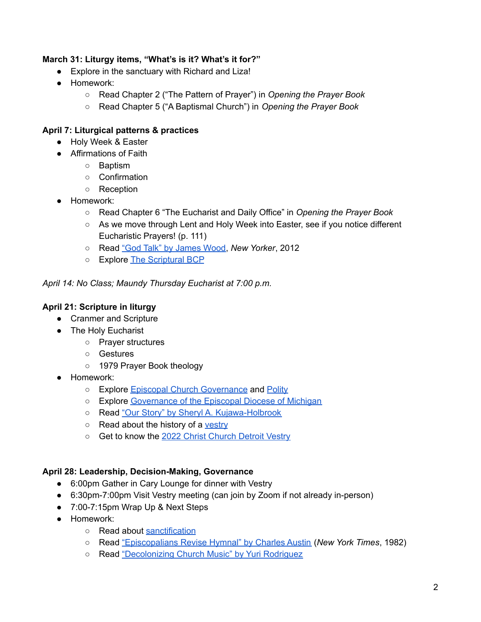#### **March 31: Liturgy items, "What's is it? What's it for?"**

- Explore in the sanctuary with Richard and Liza!
- Homework:
	- **○** Read Chapter 2 ("The Pattern of Prayer") in *Opening the Prayer Book*
	- Read Chapter 5 ("A Baptismal Church") in *Opening the Prayer Book*

## **April 7: Liturgical patterns & practices**

- Holy Week & Easter
- Affirmations of Faith
	- Baptism
	- Confirmation
	- Reception
- Homework:
	- **○** Read Chapter 6 "The Eucharist and Daily Office" in *Opening the Prayer Book*
	- As we move through Lent and Holy Week into Easter, see if you notice different Eucharistic Prayers! (p. 111)
	- Read "God Talk" by James Wood, *New Yorker*, 2012
	- Explore The Scriptural BCP

*April 14: No Class; Maundy Thursday Eucharist at 7:00 p.m.*

## **April 21: Scripture in liturgy**

- Cranmer and Scripture
- The Holy Eucharist
	- Prayer structures
	- Gestures
	- 1979 Prayer Book theology
- Homework:
	- Explore Episcopal Church Governance and Polity
	- o Explore Governance of the Episcopal Diocese of Michigan
	- Read "Our Story" by Sheryl A. Kujawa-Holbrook
	- Read about the history of a vestry
	- Get to know the 2022 Christ Church Detroit Vestry

#### **April 28: Leadership, Decision-Making, Governance**

- 6:00pm Gather in Cary Lounge for dinner with Vestry
- 6:30pm-7:00pm Visit Vestry meeting (can join by Zoom if not already in-person)
- 7:00-7:15pm Wrap Up & Next Steps
- Homework:
	- Read about sanctification
	- Read "Episcopalians Revise Hymnal" by Charles Austin (*New York Times*, 1982)
	- Read "Decolonizing Church Music" by Yuri Rodriguez